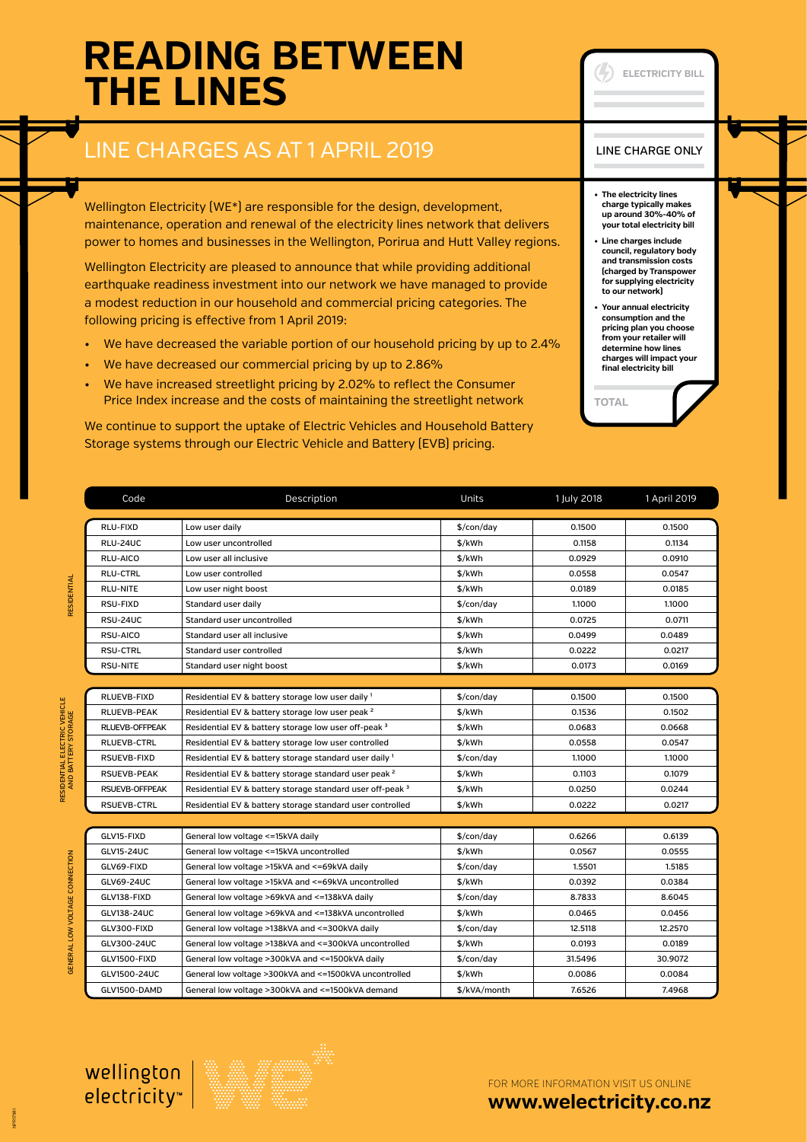# **READING BETWEEN THE LINES**

### LINE CHARGES AS AT 1 APRIL 2019

Wellington Electricity (WE<sup>\*</sup>) are responsible for the design, development, maintenance, operation and renewal of the electricity lines network that delivers power to homes and businesses in the Wellington, Porirua and Hutt Valley regions.

Wellington Electricity are pleased to announce that while providing additional earthquake readiness investment into our network we have managed to provide a modest reduction in our household and commercial pricing categories. The following pricing is effective from 1 April 2019:

- We have decreased the variable portion of our household pricing by up to 2.4%
- We have decreased our commercial pricing by up to 2.86%
- We have increased streetlight pricing by 2.02% to reflect the Consumer Price Index increase and the costs of maintaining the streetlight network

We continue to support the uptake of Electric Vehicles and Household Battery Storage systems through our Electric Vehicle and Battery (EVB) pricing.

#### LINE CHARGE ONLY

**ELECTRICITY BILL**

- **• The electricity lines charge typically makes up around 30%-40% of your total electricity bill**
- **• Line charges include council, regulatory body and transmission costs (charged by Transpower for supplying electricity to our network)**
- **• Your annual electricity consumption and the pricing plan you choose from your retailer will determine how lines charges will impact your final electricity bill**

**TOTAL**

RLU-FIXD | Low user daily \$/con/day | 0.1500 | 0.1500 RLU-24UC Low user uncontrolled **by the set of the S**/kWh controlled **by the S/kWh** 0.1158 0.1134 RLU-AICO Low user all inclusive the state of the state of the state of the state of the state of the state of the state of the state of the state of the state of the state of the state of the state of the state of the stat RLU-CTRL Low user controlled **by the controlled** the sylven of the sylven of the controlled the sylven of the controlled RLU-NITE Low user night boost the state of the state of the state of the state of the state of the state of the state of the state of the state of the state of the state of the state of the state of the state of the state RSU-FIXD Standard user daily the standard user daily the standard service of the standard user daily the standard service of the standard service of the standard user daily the standard service of the standard service of t RSU-24UC Standard user uncontrolled and the standard standard user uncontrolled to the standard standard of the standard of the standard user uncontrolled standard standard standard standard user uncontrolled standard stan



RSU-AICO Standard user all inclusive the standard user all inclusive the state of the standard user all inclusive the standard user all inclusive the standard user all inclusive the standard user all inclusive the standard RSU-CTRL Standard user controlled and the state of the state of the state of the state of the state of the state of the state of the state of the state of the state of the state of the state of the state of the state of th

Code Description Units 1 July 2018 1 April 2019



FOR MORE INFORMATION VISIT US ONLINE

**[www.welectricity.co.nz](http://www.welectricity.co.nz)**